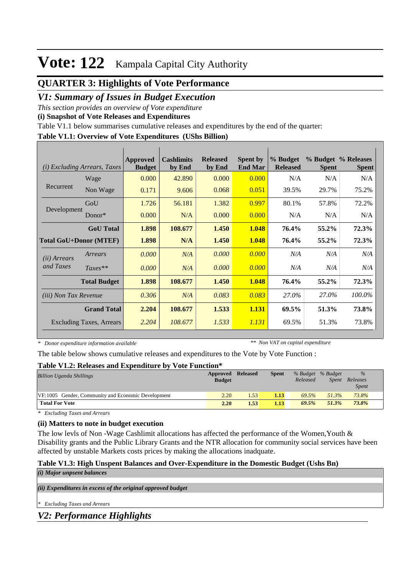# **Vote: 122** Kampala Capital City Authority

# **QUARTER 3: Highlights of Vote Performance**

## *V1: Summary of Issues in Budget Execution*

*This section provides an overview of Vote expenditure* 

**(i) Snapshot of Vote Releases and Expenditures**

Table V1.1 below summarises cumulative releases and expenditures by the end of the quarter:

#### **Table V1.1: Overview of Vote Expenditures (UShs Billion)**

| (i)                           | <i>Excluding Arrears, Taxes</i> | <b>Approved</b><br><b>Budget</b> | <b>Cashlimits</b><br>by End | <b>Released</b><br>by End | <b>Spent by</b><br><b>End Mar</b> | % Budget<br><b>Released</b> | <b>Spent</b> | % Budget % Releases<br><b>Spent</b> |
|-------------------------------|---------------------------------|----------------------------------|-----------------------------|---------------------------|-----------------------------------|-----------------------------|--------------|-------------------------------------|
|                               | Wage                            | 0.000                            | 42.890                      | 0.000                     | 0.000                             | N/A                         | N/A          | N/A                                 |
| Recurrent                     | Non Wage                        | 0.171                            | 9.606                       | 0.068                     | 0.051                             | 39.5%                       | 29.7%        | 75.2%                               |
|                               | GoU                             | 1.726                            | 56.181                      | 1.382                     | 0.997                             | 80.1%                       | 57.8%        | 72.2%                               |
| Development                   | Donor $*$                       | 0.000                            | N/A                         | 0.000                     | 0.000                             | N/A                         | N/A          | N/A                                 |
|                               | <b>GoU</b> Total                | 1.898                            | 108.677                     | 1.450                     | 1.048                             | 76.4%                       | 55.2%        | 72.3%                               |
| <b>Total GoU+Donor (MTEF)</b> |                                 | 1.898                            | N/A                         | 1.450                     | 1.048                             | 76.4%                       | 55.2%        | 72.3%                               |
| ( <i>ii</i> ) Arrears         | Arrears                         | 0.000                            | N/A                         | 0.000                     | 0.000                             | N/A                         | N/A          | N/A                                 |
| and Taxes                     | $Taxes**$                       | 0.000                            | N/A                         | 0.000                     | 0.000                             | N/A                         | N/A          | N/A                                 |
|                               | <b>Total Budget</b>             | 1.898                            | 108.677                     | 1.450                     | 1.048                             | 76.4%                       | 55.2%        | 72.3%                               |
| <i>(iii)</i> Non Tax Revenue  |                                 | 0.306                            | N/A                         | 0.083                     | 0.083                             | 27.0%                       | 27.0%        | 100.0%                              |
|                               | <b>Grand Total</b>              | 2.204                            | 108.677                     | 1.533                     | 1.131                             | 69.5%                       | 51.3%        | 73.8%                               |
|                               | Excluding Taxes, Arrears        | 2.204                            | 108.677                     | 1.533                     | 1.131                             | 69.5%                       | 51.3%        | 73.8%                               |

*\* Donor expenditure information available*

*\*\* Non VAT on capital expenditure*

The table below shows cumulative releases and expenditures to the Vote by Vote Function :

#### **Table V1.2: Releases and Expenditure by Vote Function\***

| <b>Billion Uganda Shillings</b>                    | Approved Released<br><b>Budget</b> |      | <b>Spent</b> | % Budget % Budget<br>Released | Spent | $\%$<br>Releases<br><b>Spent</b> |  |
|----------------------------------------------------|------------------------------------|------|--------------|-------------------------------|-------|----------------------------------|--|
| VF:1005 Gender, Community and Economic Development | 2.20                               | 1.53 | 1.13         | 69.5%                         | 51.3% | 73.8%                            |  |
| <b>Total For Vote</b>                              | 2.20                               | 1.53 | 1.13         | 69.5%                         | 51.3% | 73.8%                            |  |

*\* Excluding Taxes and Arrears*

#### **(ii) Matters to note in budget execution**

The low levls of Non -Wage Cashlimit allocations has affected the performance of the Women,Youth & Disability grants and the Public Library Grants and the NTR allocation for community social services have been affected by unstable Markets costs prices by making the allocations inadquate.

#### **Table V1.3: High Unspent Balances and Over-Expenditure in the Domestic Budget (Ushs Bn)** *(i) Major unpsent balances*

*(ii) Expenditures in excess of the original approved budget*

*\* Excluding Taxes and Arrears*

*V2: Performance Highlights*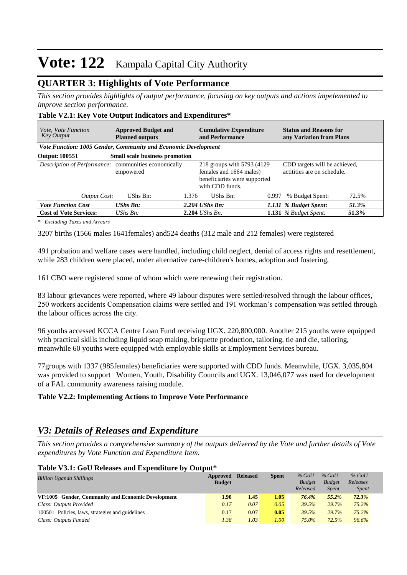# **Vote: 122** Kampala Capital City Authority

## **QUARTER 3: Highlights of Vote Performance**

*This section provides highlights of output performance, focusing on key outputs and actions impelemented to improve section performance.*

|  |  | Table V2.1: Key Vote Output Indicators and Expenditures* |  |  |
|--|--|----------------------------------------------------------|--|--|
|  |  |                                                          |  |  |

| <i>Vote, Vote Function</i><br>Key Output                       | <b>Approved Budget and</b><br><b>Planned outputs</b> |       | <b>Cumulative Expenditure</b><br>and Performance |                                                             | <b>Status and Reasons for</b><br>any Variation from Plans    |       |  |  |
|----------------------------------------------------------------|------------------------------------------------------|-------|--------------------------------------------------|-------------------------------------------------------------|--------------------------------------------------------------|-------|--|--|
| Vote Function: 1005 Gender, Community and Economic Development |                                                      |       |                                                  |                                                             |                                                              |       |  |  |
| Output: 100551                                                 | <b>Small scale business promotion</b>                |       |                                                  |                                                             |                                                              |       |  |  |
| Description of Performance: communities economically           | empowered                                            |       |                                                  | 218 groups with 5793 (4129)<br>beneficiaries were supported | CDD targets will be achieved,<br>actitities are on schedule. |       |  |  |
| <b>Output Cost:</b>                                            | UShs Bn:                                             | 1.376 | UShs Bn:                                         | 0.997                                                       | % Budget Spent:                                              | 72.5% |  |  |
| <b>Vote Function Cost</b>                                      | $UShs Bn:$                                           |       | $2.204$ UShs Bn:                                 |                                                             | 1.131 % Budget Spent:                                        | 51.3% |  |  |
| <b>Cost of Vote Services:</b>                                  | $UShs Bn$ :                                          |       | $2.204$ UShs Bn:                                 |                                                             | 1.131 $%$ Budget Spent:                                      | 51.3% |  |  |

*\* Excluding Taxes and Arrears*

3207 births (1566 males 1641females) and524 deaths (312 male and 212 females) were registered

491 probation and welfare cases were handled, including child neglect, denial of access rights and resettlement, while 283 children were placed, under alternative care-children's homes, adoption and fostering,

161 CBO were registered some of whom which were renewing their registration.

83 labour grievances were reported, where 49 labour disputes were settled/resolved through the labour offices, 250 workers accidents Compensation claims were settled and 191 workman's compensation was settled through the labour offices across the city.

96 youths accessed KCCA Centre Loan Fund receiving UGX. 220,800,000. Another 215 youths were equipped with practical skills including liquid soap making, briquette production, tailoring, tie and die, tailoring, meanwhile 60 youths were equipped with employable skills at Employment Services bureau.

77groups with 1337 (985females) beneficiaries were supported with CDD funds. Meanwhile, UGX. 3,035,804 was provided to support Women, Youth, Disability Councils and UGX. 13,046,077 was used for development of a FAL community awareness raising module.

#### **Table V2.2: Implementing Actions to Improve Vote Performance**

### *V3: Details of Releases and Expenditure*

*This section provides a comprehensive summary of the outputs delivered by the Vote and further details of Vote expenditures by Vote Function and Expenditure Item.*

#### **Table V3.1: GoU Releases and Expenditure by Output\***

| <b>Billion Uganda Shillings</b>                           | Approved<br><b>Budget</b> | <b>Released</b> | <b>Spent</b> | $%$ GoU<br><b>Budget</b> | $%$ GoU<br><b>Budget</b> | $%$ GoU<br>Releases |  |
|-----------------------------------------------------------|---------------------------|-----------------|--------------|--------------------------|--------------------------|---------------------|--|
|                                                           |                           |                 |              | Released                 | <b>Spent</b>             | <i>Spent</i>        |  |
| <b>VF:1005</b> Gender, Community and Economic Development | 1.90                      | 1.45            | 1.05         | 76.4%                    | $55.2\%$                 | 72.3%               |  |
| Class: Outputs Provided                                   | 0.17                      | 0.07            | 0.05         | 39.5%                    | 29.7%                    | 75.2%               |  |
| 100501 Policies, laws, strategies and guidelines          | 0.17                      | 0.07            | 0.05         | 39.5%                    | 29.7%                    | $75.2\%$            |  |
| Class: Outputs Funded                                     | 1.38                      | 1.03            | 1.00         | 75.0%                    | 72.5%                    | 96.6%               |  |